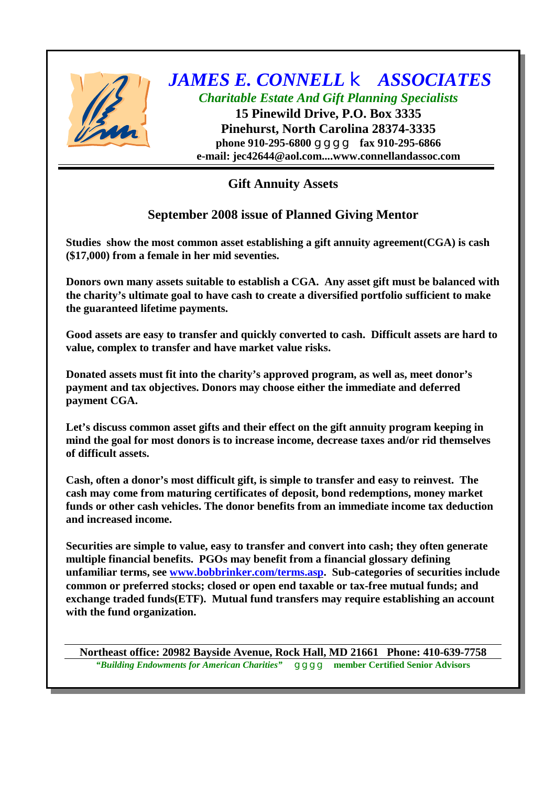

## *JAMES E. CONNELL* k *ASSOCIATES Charitable Estate And Gift Planning Specialists*

**15 Pinewild Drive, P.O. Box 3335 Pinehurst, North Carolina 28374-3335 phone 910-295-6800** g g g **fax 910-295-6866 e-mail: [jec42644@aol.com....www.connellandassoc.com](mailto:jec42644@aol.com....www.connellandassoc.com)**

**Gift Annuity Assets**

## **September 2008 issue of Planned Giving Mentor**

**Studies show the most common asset establishing a gift annuity agreement(CGA) is cash (\$17,000) from a female in her mid seventies.**

**Donors own many assets suitable to establish a CGA. Any asset gift must be balanced with the charity's ultimate goal to have cash to create a diversified portfolio sufficient to make the guaranteed lifetime payments.**

**Good assets are easy to transfer and quickly converted to cash. Difficult assets are hard to value, complex to transfer and have market value risks.**

**Donated assets must fit into the charity's approved program, as well as, meet donor's payment and tax objectives. Donors may choose either the immediate and deferred payment CGA.**

**Let's discuss common asset gifts and their effect on the gift annuity program keeping in mind the goal for most donors is to increase income, decrease taxes and/or rid themselves of difficult assets.**

**Cash, often a donor's most difficult gift, is simple to transfer and easy to reinvest. The cash may come from maturing certificates of deposit, bond redemptions, money market funds or other cash vehicles. The donor benefits from an immediate income tax deduction and increased income.**

**Securities are simple to value, easy to transfer and convert into cash; they often generate multiple financial benefits. PGOs may benefit from a financial glossary defining unfamiliar terms, see [www.bobbrinker.com/terms.asp](http://www.bobbrinker.com/terms.asp). Sub-categories of securities include common or preferred stocks; closed or open end taxable or tax-free mutual funds; and exchange traded funds(ETF). Mutual fund transfers may require establishing an account with the fund organization.**

**Northeast office: 20982 Bayside Avenue, Rock Hall, MD 21661 Phone: 410-639-7758** *"Building Endowments for American Charities"* g g g g **member Certified Senior Advisors**